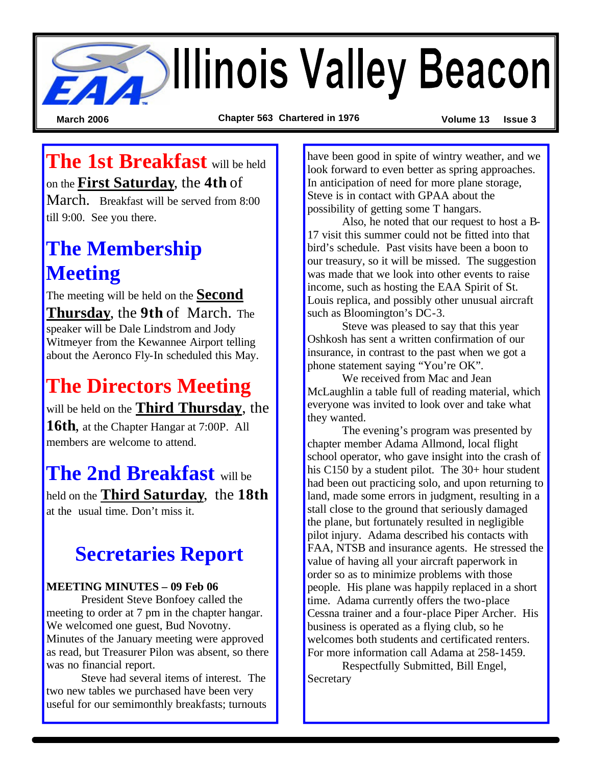# **Beacon**

**March 2006 Chapter 563 Chartered in 1976 Volume 13 Issue 3**

## **The 1st Breakfast** will be held on the **First Saturday**, the **4th** of

March. Breakfast will be served from 8:00 till 9:00. See you there.

# **The Membership Meeting**

The meeting will be held on the **Second Thursday**, the **9th** of March. The speaker will be Dale Lindstrom and Jody Witmeyer from the Kewannee Airport telling about the Aeronco Fly-In scheduled this May.

# **The Directors Meeting**

will be held on the **Third Thursday**, the **16th**, at the Chapter Hangar at 7:00P. All members are welcome to attend.

**The 2nd Breakfast** will be held on the **Third Saturday**, the **18th** at the usual time. Don't miss it.

## **Secretaries Report**

#### **MEETING MINUTES – 09 Feb 06**

President Steve Bonfoey called the meeting to order at 7 pm in the chapter hangar. We welcomed one guest, Bud Novotny. Minutes of the January meeting were approved as read, but Treasurer Pilon was absent, so there was no financial report.

Steve had several items of interest. The two new tables we purchased have been very useful for our semimonthly breakfasts; turnouts

have been good in spite of wintry weather, and we look forward to even better as spring approaches. In anticipation of need for more plane storage, Steve is in contact with GPAA about the possibility of getting some T hangars.

Also, he noted that our request to host a B-17 visit this summer could not be fitted into that bird's schedule. Past visits have been a boon to our treasury, so it will be missed. The suggestion was made that we look into other events to raise income, such as hosting the EAA Spirit of St. Louis replica, and possibly other unusual aircraft such as Bloomington's DC-3.

Steve was pleased to say that this year Oshkosh has sent a written confirmation of our insurance, in contrast to the past when we got a phone statement saying "You're OK".

We received from Mac and Jean McLaughlin a table full of reading material, which everyone was invited to look over and take what they wanted.

The evening's program was presented by chapter member Adama Allmond, local flight school operator, who gave insight into the crash of his C150 by a student pilot. The 30+ hour student had been out practicing solo, and upon returning to land, made some errors in judgment, resulting in a stall close to the ground that seriously damaged the plane, but fortunately resulted in negligible pilot injury. Adama described his contacts with FAA, NTSB and insurance agents. He stressed the value of having all your aircraft paperwork in order so as to minimize problems with those people. His plane was happily replaced in a short time. Adama currently offers the two-place Cessna trainer and a four-place Piper Archer. His business is operated as a flying club, so he welcomes both students and certificated renters. For more information call Adama at 258-1459.

Respectfully Submitted, Bill Engel, **Secretary**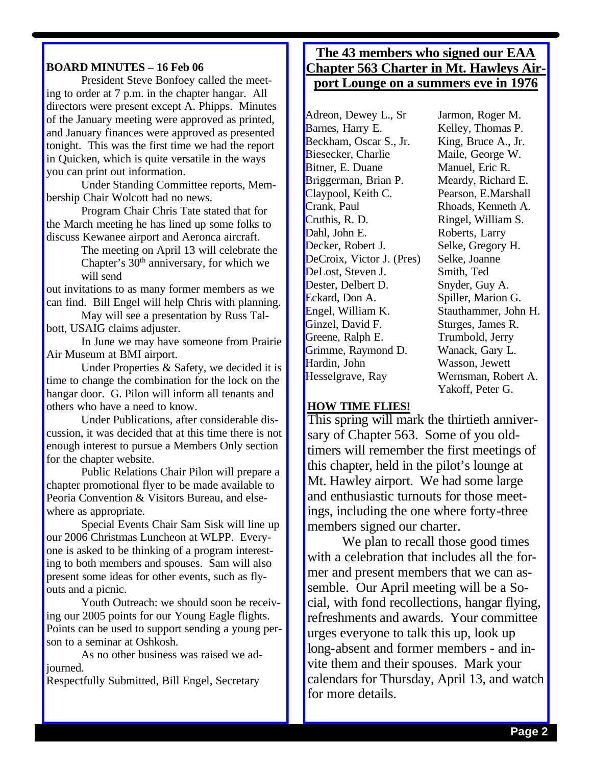#### **BOARD MINUTES – 16 Feb 06**

President Steve Bonfoey called the meeting to order at 7 p.m. in the chapter hangar. All directors were present except A. Phipps. Minutes of the January meeting were approved as printed, and January finances were approved as presented tonight. This was the first time we had the report in Quicken, which is quite versatile in the ways you can print out information.

Under Standing Committee reports, Membership Chair Wolcott had no news.

Program Chair Chris Tate stated that for the March meeting he has lined up some folks to discuss Kewanee airport and Aeronca aircraft.

> The meeting on April 13 will celebrate the Chapter's  $30<sup>th</sup>$  anniversary, for which we will send

out invitations to as many former members as we can find. Bill Engel will help Chris with planning.

May will see a presentation by Russ Talbott, USAIG claims adjuster.

In June we may have someone from Prairie Air Museum at BMI airport.

Under Properties & Safety, we decided it is time to change the combination for the lock on the hangar door. G. Pilon will inform all tenants and others who have a need to know.

Under Publications, after considerable discussion, it was decided that at this time there is not enough interest to pursue a Members Only section for the chapter website.

Public Relations Chair Pilon will prepare a chapter promotional flyer to be made available to Peoria Convention & Visitors Bureau, and elsewhere as appropriate.

Special Events Chair Sam Sisk will line up our 2006 Christmas Luncheon at WLPP. Everyone is asked to be thinking of a program interesting to both members and spouses. Sam will also present some ideas for other events, such as flyouts and a picnic.

Youth Outreach: we should soon be receiving our 2005 points for our Young Eagle flights. Points can be used to support sending a young person to a seminar at Oshkosh.

As no other business was raised we adjourned.

Respectfully Submitted, Bill Engel, Secretary

#### **The 43 members who signed our EAA Chapter 563 Charter in Mt. Hawleys Airport Lounge on a summers eve in 1976**

Adreon, Dewey L., Sr Barnes, Harry E. Beckham, Oscar S., Jr. Biesecker, Charlie Bitner, E. Duane Briggerman, Brian P. Claypool, Keith C. Crank, Paul Cruthis, R. D. Dahl, John E. Decker, Robert J. DeCroix, Victor J. (Pres) DeLost, Steven J. Dester, Delbert D. Eckard, Don A. Engel, William K. Ginzel, David F. Greene, Ralph E. Grimme, Raymond D. Hardin, John Hesselgrave, Ray

Jarmon, Roger M. Kelley, Thomas P. King, Bruce A., Jr. Maile, George W. Manuel, Eric R. Meardy, Richard E. Pearson, E.Marshall Rhoads, Kenneth A. Ringel, William S. Roberts, Larry Selke, Gregory H. Selke, Joanne Smith, Ted Snyder, Guy A. Spiller, Marion G. Stauthammer, John H. Sturges, James R. Trumbold, Jerry Wanack, Gary L. Wasson, Jewett Wernsman, Robert A. Yakoff, Peter G.

#### **HOW TIME FLIES!**

This spring will mark the thirtieth anniversary of Chapter 563. Some of you oldtimers will remember the first meetings of this chapter, held in the pilot's lounge at Mt. Hawley airport. We had some large and enthusiastic turnouts for those meetings, including the one where forty-three members signed our charter.

We plan to recall those good times with a celebration that includes all the former and present members that we can assemble. Our April meeting will be a Social, with fond recollections, hangar flying, refreshments and awards. Your committee urges everyone to talk this up, look up long-absent and former members - and invite them and their spouses. Mark your calendars for Thursday, April 13, and watch for more details.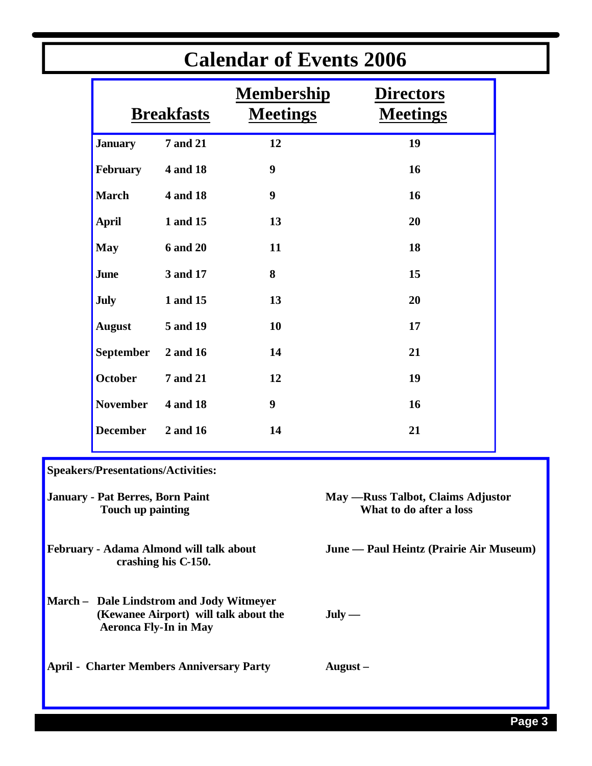| <b>Calendar of Events 2006</b>                                                                                    |                   |                 |                                      |                                                               |  |
|-------------------------------------------------------------------------------------------------------------------|-------------------|-----------------|--------------------------------------|---------------------------------------------------------------|--|
|                                                                                                                   | <b>Breakfasts</b> |                 | <b>Membership</b><br><b>Meetings</b> | <b>Directors</b><br><b>Meetings</b>                           |  |
|                                                                                                                   | <b>January</b>    | <b>7 and 21</b> | 12                                   | 19                                                            |  |
|                                                                                                                   | February          | 4 and 18        | $\boldsymbol{9}$                     | 16                                                            |  |
|                                                                                                                   | <b>March</b>      | 4 and 18        | $\boldsymbol{9}$                     | 16                                                            |  |
|                                                                                                                   | <b>April</b>      | 1 and 15        | 13                                   | 20                                                            |  |
|                                                                                                                   | <b>May</b>        | <b>6 and 20</b> | 11                                   | 18                                                            |  |
|                                                                                                                   | <b>June</b>       | 3 and 17        | 8                                    | 15                                                            |  |
|                                                                                                                   | <b>July</b>       | 1 and 15        | 13                                   | 20                                                            |  |
|                                                                                                                   | <b>August</b>     | 5 and 19        | 10                                   | 17                                                            |  |
|                                                                                                                   | September         | 2 and 16        | 14                                   | 21                                                            |  |
|                                                                                                                   | <b>October</b>    | <b>7 and 21</b> | 12                                   | 19                                                            |  |
|                                                                                                                   | <b>November</b>   | 4 and 18        | $\boldsymbol{9}$                     | 16                                                            |  |
|                                                                                                                   | <b>December</b>   | 2 and 16        | 14                                   | 21                                                            |  |
| Speakers/Presentations/Activities:                                                                                |                   |                 |                                      |                                                               |  |
| January - Pat Berres, Born Paint<br>Touch up painting                                                             |                   |                 |                                      | May — Russ Talbot, Claims Adjustor<br>What to do after a loss |  |
| February - Adama Almond will talk about<br>crashing his C-150.                                                    |                   |                 |                                      | June — Paul Heintz (Prairie Air Museum)                       |  |
| March - Dale Lindstrom and Jody Witmeyer<br>(Kewanee Airport) will talk about the<br><b>Aeronca Fly-In in May</b> |                   |                 |                                      | $July -$                                                      |  |
| <b>April - Charter Members Anniversary Party</b>                                                                  |                   |                 |                                      | August $-$                                                    |  |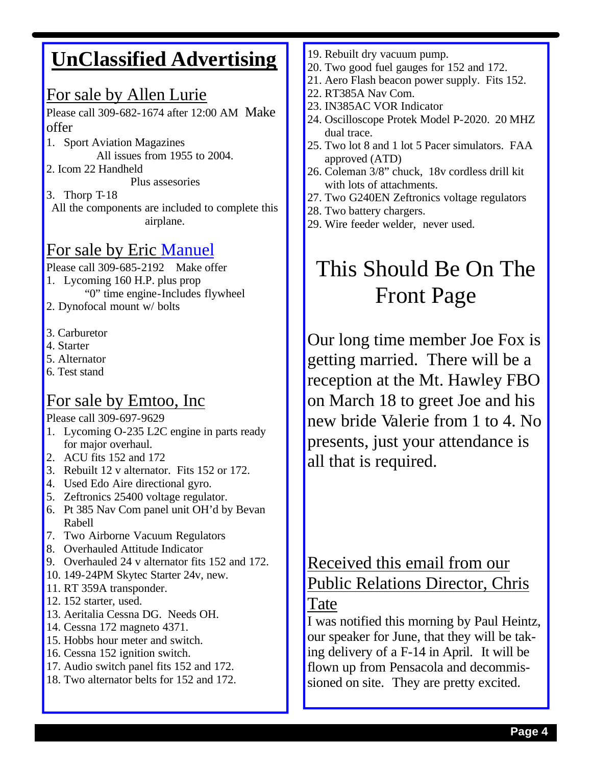## **UnClassified Advertising**

#### For sale by Allen Lurie

Please call 309-682-1674 after 12:00 AM Make offer

- 1. Sport Aviation Magazines All issues from 1955 to 2004.
- 2. Icom 22 Handheld

Plus assesories

3. Thorp T-18

All the components are included to complete this airplane.

## For sale by Eric Manuel

Please call 309-685-2192 Make offer

- 1. Lycoming 160 H.P. plus prop
	- "0" time engine-Includes flywheel
- 2. Dynofocal mount w/ bolts
- 3. Carburetor
- 4. Starter
- 5. Alternator
- 6. Test stand

#### For sale by Emtoo, Inc

Please call 309-697-9629

- 1. Lycoming O-235 L2C engine in parts ready for major overhaul.
- 2. ACU fits 152 and 172
- 3. Rebuilt 12 v alternator. Fits 152 or 172.
- 4. Used Edo Aire directional gyro.
- 5. Zeftronics 25400 voltage regulator.
- 6. Pt 385 Nav Com panel unit OH'd by Bevan Rabell
- 7. Two Airborne Vacuum Regulators
- 8. Overhauled Attitude Indicator
- 9. Overhauled 24 v alternator fits 152 and 172.
- 10. 149-24PM Skytec Starter 24v, new.
- 11. RT 359A transponder.
- 12. 152 starter, used.
- 13. Aeritalia Cessna DG. Needs OH.
- 14. Cessna 172 magneto 4371.
- 15. Hobbs hour meter and switch.
- 16. Cessna 152 ignition switch.
- 17. Audio switch panel fits 152 and 172.
- 18. Two alternator belts for 152 and 172.
- 19. Rebuilt dry vacuum pump.
- 20. Two good fuel gauges for 152 and 172.
- 21. Aero Flash beacon power supply. Fits 152.
- 22. RT385A Nav Com.
- 23. IN385AC VOR Indicator
- 24. Oscilloscope Protek Model P-2020. 20 MHZ dual trace.
- 25. Two lot 8 and 1 lot 5 Pacer simulators. FAA approved (ATD)
- 26. Coleman 3/8" chuck, 18v cordless drill kit with lots of attachments.
- 27. Two G240EN Zeftronics voltage regulators
- 28. Two battery chargers.
- 29. Wire feeder welder, never used.

# This Should Be On The Front Page

Our long time member Joe Fox is getting married. There will be a reception at the Mt. Hawley FBO on March 18 to greet Joe and his new bride Valerie from 1 to 4. No presents, just your attendance is all that is required.

## Received this email from our Public Relations Director, Chris

#### Tate

I was notified this morning by Paul Heintz, our speaker for June, that they will be taking delivery of a F-14 in April. It will be flown up from Pensacola and decommissioned on site. They are pretty excited.